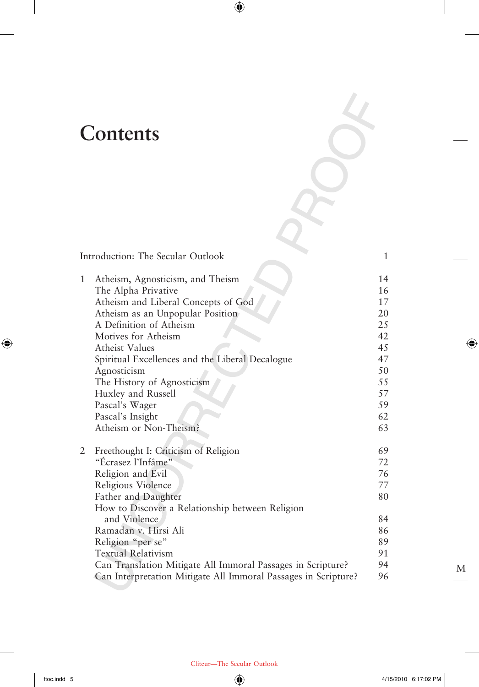## **Contents**

 $\overline{\phantom{a}}$ 

 $\bigoplus$ 

|   | Introduction: The Secular Outlook                              | 1  |
|---|----------------------------------------------------------------|----|
| 1 | Atheism, Agnosticism, and Theism                               | 14 |
|   | The Alpha Privative                                            | 16 |
|   | Atheism and Liberal Concepts of God                            | 17 |
|   | Atheism as an Unpopular Position                               | 20 |
|   | A Definition of Atheism                                        | 25 |
|   | Motives for Atheism                                            | 42 |
|   | <b>Atheist Values</b>                                          | 45 |
|   | Spiritual Excellences and the Liberal Decalogue                | 47 |
|   | Agnosticism                                                    | 50 |
|   | The History of Agnosticism                                     | 55 |
|   | Huxley and Russell                                             | 57 |
|   | Pascal's Wager                                                 | 59 |
|   | Pascal's Insight                                               | 62 |
|   | Atheism or Non-Theism?                                         | 63 |
| 2 | Freethought I: Criticism of Religion                           | 69 |
|   | "Écrasez l'Infâme"                                             | 72 |
|   | Religion and Evil                                              | 76 |
|   | Religious Violence                                             | 77 |
|   | Father and Daughter                                            | 80 |
|   | How to Discover a Relationship between Religion                |    |
|   | and Violence                                                   | 84 |
|   | Ramadan v. Hirsi Ali                                           | 86 |
|   | Religion "per se"                                              | 89 |
|   | <b>Textual Relativism</b>                                      | 91 |
|   | Can Translation Mitigate All Immoral Passages in Scripture?    | 94 |
|   | Can Interpretation Mitigate All Immoral Passages in Scripture? | 96 |

 $\bigoplus$ 

M

 $\bigoplus$ 

 $\overline{\phantom{a}}$ 

 $\mathcal{L}_{\mathcal{F}}$ 

Cliteur—The Secular Outlook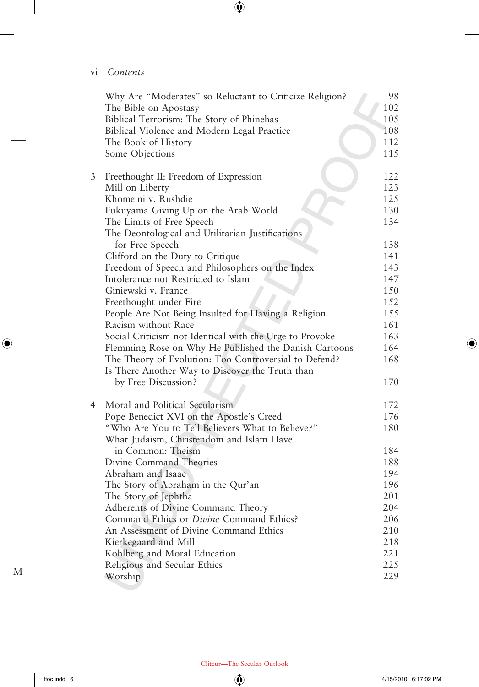vi *Contents*

 $\overline{\phantom{a}}$ 

|   | Why Are "Moderates" so Reluctant to Criticize Religion?<br>The Bible on Apostasy<br>Biblical Terrorism: The Story of Phinehas<br>Biblical Violence and Modern Legal Practice<br>The Book of History<br>Some Objections | 98<br>102<br>105<br>108<br>112<br>115 |
|---|------------------------------------------------------------------------------------------------------------------------------------------------------------------------------------------------------------------------|---------------------------------------|
| 3 | Freethought II: Freedom of Expression                                                                                                                                                                                  | 122                                   |
|   | Mill on Liberty                                                                                                                                                                                                        | 123                                   |
|   | Khomeini v. Rushdie                                                                                                                                                                                                    | 125                                   |
|   | Fukuyama Giving Up on the Arab World                                                                                                                                                                                   | 130                                   |
|   | The Limits of Free Speech<br>The Deontological and Utilitarian Justifications                                                                                                                                          | 134                                   |
|   | for Free Speech                                                                                                                                                                                                        | 138                                   |
|   | Clifford on the Duty to Critique                                                                                                                                                                                       | 141                                   |
|   | Freedom of Speech and Philosophers on the Index                                                                                                                                                                        | 143                                   |
|   | Intolerance not Restricted to Islam                                                                                                                                                                                    | 147                                   |
|   | Giniewski v. France                                                                                                                                                                                                    | 150                                   |
|   | Freethought under Fire                                                                                                                                                                                                 | 152                                   |
|   | People Are Not Being Insulted for Having a Religion                                                                                                                                                                    | 155                                   |
|   | Racism without Race                                                                                                                                                                                                    | 161                                   |
|   | Social Criticism not Identical with the Urge to Provoke                                                                                                                                                                | 163                                   |
|   | Flemming Rose on Why He Published the Danish Cartoons                                                                                                                                                                  | 164                                   |
|   | The Theory of Evolution: Too Controversial to Defend?<br>Is There Another Way to Discover the Truth than                                                                                                               | 168                                   |
|   | by Free Discussion?                                                                                                                                                                                                    | 170                                   |
| 4 | Moral and Political Secularism                                                                                                                                                                                         | 172                                   |
|   | Pope Benedict XVI on the Apostle's Creed                                                                                                                                                                               | 176                                   |
|   | "Who Are You to Tell Believers What to Believe?"<br>What Judaism, Christendom and Islam Have                                                                                                                           | 180                                   |
|   | in Common: Theism                                                                                                                                                                                                      | 184                                   |
|   | Divine Command Theories                                                                                                                                                                                                | 188                                   |
|   | Abraham and Isaac                                                                                                                                                                                                      | 194                                   |
|   | The Story of Abraham in the Qur'an                                                                                                                                                                                     | 196                                   |
|   | The Story of Jephtha                                                                                                                                                                                                   | 201                                   |
|   | Adherents of Divine Command Theory                                                                                                                                                                                     | 204                                   |
|   | Command Ethics or Divine Command Ethics?                                                                                                                                                                               | 206                                   |
|   | An Assessment of Divine Command Ethics                                                                                                                                                                                 | 210                                   |
|   | Kierkegaard and Mill                                                                                                                                                                                                   | 218                                   |
|   | Kohlberg and Moral Education                                                                                                                                                                                           | 221                                   |
|   | Religious and Secular Ethics                                                                                                                                                                                           | 225                                   |
|   | Worship                                                                                                                                                                                                                | 229                                   |

 $\bigoplus$ 

 $\bigoplus$ 

 $\overline{\phantom{a}}$ 

 $\bigoplus$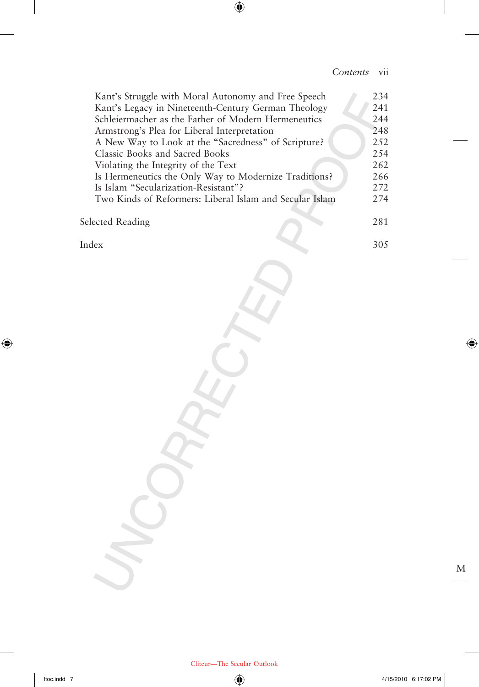## *Contents* vii

I

| Kant's Struggle with Moral Autonomy and Free Speech     | 234  |
|---------------------------------------------------------|------|
| Kant's Legacy in Nineteenth-Century German Theology     | 241  |
| Schleiermacher as the Father of Modern Hermeneutics     | 244  |
| Armstrong's Plea for Liberal Interpretation             | 248  |
| A New Way to Look at the "Sacredness" of Scripture?     | 2.52 |
| Classic Books and Sacred Books                          | 2.54 |
| Violating the Integrity of the Text                     | 262  |
| Is Hermeneutics the Only Way to Modernize Traditions?   | 266  |
| Is Islam "Secularization-Resistant"?                    | 2.72 |
| Two Kinds of Reformers: Liberal Islam and Secular Islam | 2.74 |
|                                                         |      |
| Selected Reading                                        |      |
|                                                         |      |

 $\bigoplus$ 

Index 305

 $\overline{\phantom{a}}$ 

 $\bigoplus$ 

M

 $\bigoplus$